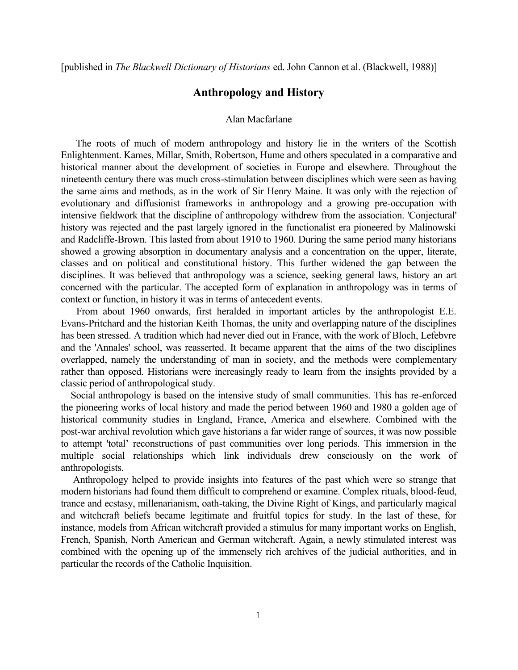[published in *The Blackwell Dictionary of Historians* ed. John Cannon et al. (Blackwell, 1988)]

## **Anthropology and History**

## Alan Macfarlane

The roots of much of modern anthropology and history lie in the writers of the Scottish Enlightenment. Kames, Millar, Smith, Robertson, Hume and others speculated in a comparative and historical manner about the development of societies in Europe and elsewhere. Throughout the nineteenth century there was much cross-stimulation between disciplines which were seen as having the same aims and methods, as in the work of Sir Henry Maine. It was only with the rejection of evolutionary and diffusionist frameworks in anthropology and a growing pre-occupation with intensive fieldwork that the discipline of anthropology withdrew from the association. 'Conjectural' history was rejected and the past largely ignored in the functionalist era pioneered by Malinowski and Radcliffe-Brown. This lasted from about 1910 to 1960. During the same period many historians showed a growing absorption in documentary analysis and a concentration on the upper, literate, classes and on political and constitutional history. This further widened the gap between the disciplines. It was believed that anthropology was a science, seeking general laws, history an art concerned with the particular. The accepted form of explanation in anthropology was in terms of context or function, in history it was in terms of antecedent events.

From about 1960 onwards, first heralded in important articles by the anthropologist E.E. Evans-Pritchard and the historian Keith Thomas, the unity and overlapping nature of the disciplines has been stressed. A tradition which had never died out in France, with the work of Bloch, Lefebvre and the 'Annales' school, was reasserted. It became apparent that the aims of the two disciplines overlapped, namely the understanding of man in society, and the methods were complementary rather than opposed. Historians were increasingly ready to learn from the insights provided by a classic period of anthropological study.

Social anthropology is based on the intensive study of small communities. This has re-enforced the pioneering works of local history and made the period between 1960 and 1980 a golden age of historical community studies in England, France, America and elsewhere. Combined with the post-war archival revolution which gave historians a far wider range of sources, it was now possible to attempt 'total' reconstructions of past communities over long periods. This immersion in the multiple social relationships which link individuals drew consciously on the work of anthropologists.

Anthropology helped to provide insights into features of the past which were so strange that modern historians had found them difficult to comprehend or examine. Complex rituals, blood-feud, trance and ecstasy, millenarianism, oath-taking, the Divine Right of Kings, and particularly magical and witchcraft beliefs became legitimate and fruitful topics for study. In the last of these, for instance, models from African witchcraft provided a stimulus for many important works on English, French, Spanish, North American and German witchcraft. Again, a newly stimulated interest was combined with the opening up of the immensely rich archives of the judicial authorities, and in particular the records of the Catholic Inquisition.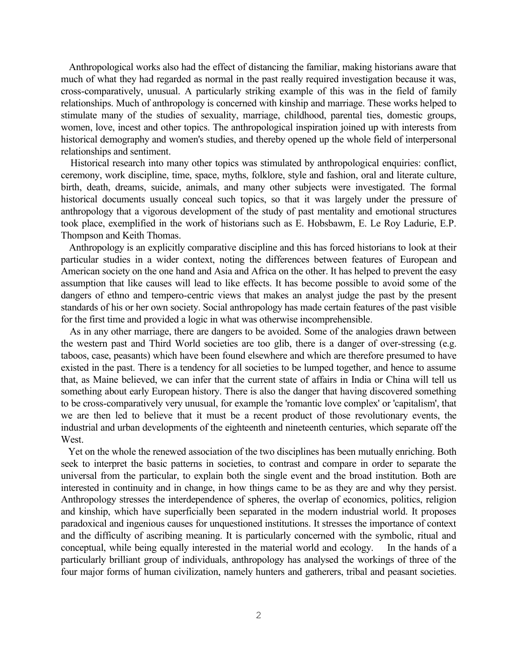Anthropological works also had the effect of distancing the familiar, making historians aware that much of what they had regarded as normal in the past really required investigation because it was, cross-comparatively, unusual. A particularly striking example of this was in the field of family relationships. Much of anthropology is concerned with kinship and marriage. These works helped to stimulate many of the studies of sexuality, marriage, childhood, parental ties, domestic groups, women, love, incest and other topics. The anthropological inspiration joined up with interests from historical demography and women's studies, and thereby opened up the whole field of interpersonal relationships and sentiment.

Historical research into many other topics was stimulated by anthropological enquiries: conflict, ceremony, work discipline, time, space, myths, folklore, style and fashion, oral and literate culture, birth, death, dreams, suicide, animals, and many other subjects were investigated. The formal historical documents usually conceal such topics, so that it was largely under the pressure of anthropology that a vigorous development of the study of past mentality and emotional structures took place, exemplified in the work of historians such as E. Hobsbawm, E. Le Roy Ladurie, E.P. Thompson and Keith Thomas.

Anthropology is an explicitly comparative discipline and this has forced historians to look at their particular studies in a wider context, noting the differences between features of European and American society on the one hand and Asia and Africa on the other. It has helped to prevent the easy assumption that like causes will lead to like effects. It has become possible to avoid some of the dangers of ethno and tempero-centric views that makes an analyst judge the past by the present standards of his or her own society. Social anthropology has made certain features of the past visible for the first time and provided a logic in what was otherwise incomprehensible.

As in any other marriage, there are dangers to be avoided. Some of the analogies drawn between the western past and Third World societies are too glib, there is a danger of over-stressing (e.g. taboos, case, peasants) which have been found elsewhere and which are therefore presumed to have existed in the past. There is a tendency for all societies to be lumped together, and hence to assume that, as Maine believed, we can infer that the current state of affairs in India or China will tell us something about early European history. There is also the danger that having discovered something to be cross-comparatively very unusual, for example the 'romantic love complex' or 'capitalism', that we are then led to believe that it must be a recent product of those revolutionary events, the industrial and urban developments of the eighteenth and nineteenth centuries, which separate off the West.

Yet on the whole the renewed association of the two disciplines has been mutually enriching. Both seek to interpret the basic patterns in societies, to contrast and compare in order to separate the universal from the particular, to explain both the single event and the broad institution. Both are interested in continuity and in change, in how things came to be as they are and why they persist. Anthropology stresses the interdependence of spheres, the overlap of economics, politics, religion and kinship, which have superficially been separated in the modern industrial world. It proposes paradoxical and ingenious causes for unquestioned institutions. It stresses the importance of context and the difficulty of ascribing meaning. It is particularly concerned with the symbolic, ritual and conceptual, while being equally interested in the material world and ecology. In the hands of a particularly brilliant group of individuals, anthropology has analysed the workings of three of the four major forms of human civilization, namely hunters and gatherers, tribal and peasant societies.